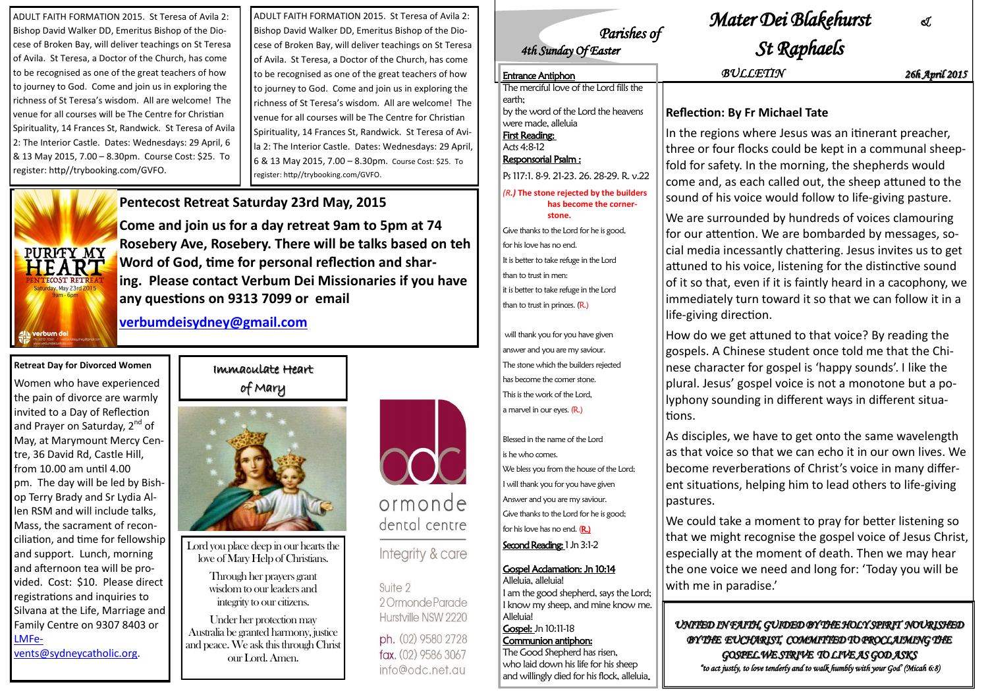### Immaculate Heart of Mary



Lord you place deep in our hearts the love of Mary Help of Christians.

> Through her prayers grant wisdom to our leaders and integrity to our citizens.

Under her protection may Australia be granted harmony, justice and peace. We ask this through Christ our Lord. Amen.



### ormonde dental centre

### Integrity & care

Suite 2 20mmondeParade Hurstville NSW 2220

ph. (02) 9580 2728 fax. (02) 9586 3067 info@odc.net.au

ADULT FAITH FORMATION 2015. St Teresa of Avila 2: Bishop David Walker DD, Emeritus Bishop of the Diocese of Broken Bay, will deliver teachings on St Teresa of Avila. St Teresa, a Doctor of the Church, has come to be recognised as one of the great teachers of how to journey to God. Come and join us in exploring the richness of St Teresa's wisdom. All are welcome! The venue for all courses will be The Centre for Christian Spirituality, 14 Frances St, Randwick. St Teresa of Avila 2: The Interior Castle. Dates: Wednesdays: 29 April, 6 & 13 May 2015, 7.00 – 8.30pm. Course Cost: \$25. To register: http//trybooking.com/GVFO.

#### **Retreat Day for Divorced Women**

Women who have experienced the pain of divorce are warmly invited to a Day of Reflection and Prayer on Saturday, 2<sup>nd</sup> of May, at Marymount Mercy Centre, 36 David Rd, Castle Hill, from 10.00 am until 4.00 pm. The day will be led by Bishop Terry Brady and Sr Lydia Allen RSM and will include talks, Mass, the sacrament of reconciliation, and time for fellowship and support. Lunch, morning and afternoon tea will be provided. Cost: \$10. Please direct registrations and inquiries to Silvana at the Life, Marriage and Family Centre on 9307 8403 or [LMFe](mailto:LMFevents@sydneycatholic.org)[vents@sydneycatholic.org.](mailto:LMFevents@sydneycatholic.org)

**Pentecost Retreat Saturday 23rd May, 2015**

**Come and join us for a day retreat 9am to 5pm at 74 Rosebery Ave, Rosebery. There will be talks based on teh Word of God, time for personal reflection and sharing. Please contact Verbum Dei Missionaries if you have any questions on 9313 7099 or email**

**[verbumdeisydney@gmail.com](mailto:verbumdeisydney@gmail.com)**

We could take a moment to pray for better listening so that we might recognise the gospel voice of Jesus Christ, especially at the moment of death. Then we may hear the one voice we need and long for: 'Today you will be with me in paradise.'

ADULT FAITH FORMATION 2015. St Teresa of Avila 2: Bishop David Walker DD, Emeritus Bishop of the Diocese of Broken Bay, will deliver teachings on St Teresa of Avila. St Teresa, a Doctor of the Church, has come to be recognised as one of the great teachers of how to journey to God. Come and join us in exploring the richness of St Teresa's wisdom. All are welcome! The venue for all courses will be The Centre for Christian Spirituality, 14 Frances St, Randwick. St Teresa of Avila 2: The Interior Castle. Dates: Wednesdays: 29 April, 6 & 13 May 2015, 7.00 – 8.30pm. Course Cost: \$25. To register: http//trybooking.com/GVFO.



Blessed in the name of the Lord is he who comes. We bless you from the house of the Lord; I will thank you for you have given Answer and you are my saviour. Give thanks to the Lord for he is good; for his love has no end.  $(R.)$ 

tions.

# *Parishes of*

## *Mater Dei Blakehurst &*

# *4th Sunday Of Easter St Raphaels*

### **Reflection: By Fr Michael Tate**

e regions where Jesus was an itinerant preacher, e or four flocks could be kept in a communal sheepfor safety. In the morning, the shepherds would e and, as each called out, the sheep attuned to the Id of his voice would follow to life-giving pasture.

are surrounded by hundreds of voices clamouring our attention. We are bombarded by messages, somedia incessantly chattering. Jesus invites us to get ed to his voice, listening for the distinctive sound so that, even if it is faintly heard in a cacophony, we ediately turn toward it so that we can follow it in a living direction.

How do we get attuned to that voice? By reading the gospels. A Chinese student once told me that the Chinese character for gospel is 'happy sounds'. I like the plural. Jesus' gospel voice is not a monotone but a polyphony sounding in different ways in different situa-

As disciples, we have to get onto the same wavelength as that voice so that we can echo it in our own lives. We become reverberations of Christ's voice in many different situations, helping him to lead others to life-giving

pastures.

Second Reading: 1 Jn 3:1-2

*UNITED IN FAITH, GUIDED BY THE HOLY SPIRIT NOURISHED BY THE EUCHARIST, COMMITTED TO PROCLAIMING THE GOSPEL.WE STRIVE TO LIVE AS GOD ASKS "to act justly, to love tenderly and to walk humbly with your God' (Micah 6:8)* 

Entrance Antiphon *BULLETIN 26h April 2015*

| <b>Entrance Antiphon</b>                                                                                                                   |                                    |
|--------------------------------------------------------------------------------------------------------------------------------------------|------------------------------------|
| The merciful love of the Lord fills the                                                                                                    |                                    |
| earth;<br>by the word of the Lord the heavens<br>were made, alleluia<br><b>First Reading:</b><br>Acts 4:8-12<br><b>Responsorial Psalm:</b> | Refle<br>In the<br>three<br>fold f |
| Ps 117:1. 8-9. 21-23. 26. 28-29. R. v.22                                                                                                   | come                               |
| $(Rl)$ The stone rejected by the builders<br>has become the corner-                                                                        | soun                               |
| stone.                                                                                                                                     | We a                               |
| Give thanks to the Lord for he is good,                                                                                                    | for o                              |
| for his love has no end.                                                                                                                   | cial n                             |
| It is better to take refuge in the Lord                                                                                                    | attun                              |
| than to trust in men:                                                                                                                      | of it s                            |
| it is better to take refuge in the Lord                                                                                                    | imm                                |
| than to trust in princes. (R.)                                                                                                             | life-g                             |
| will thank you for you have given                                                                                                          | $H_{OMI}$                          |

will thank you for you have given answer and you are my saviour. The stone which the builders rejected has become the corner stone. This is the work of the Lord, a marvel in our eyes. (R.)

### Gospel Acclamation: Jn 10:14

Alleluia, alleluia! I am the good shepherd, says the Lord; I know my sheep, and mine know me. Alleluia! Gospel: Jn 10:11-18 Communion antiphon:

The Good Shepherd has risen, who laid down his life for his sheep and willingly died for his flock, alleluia.